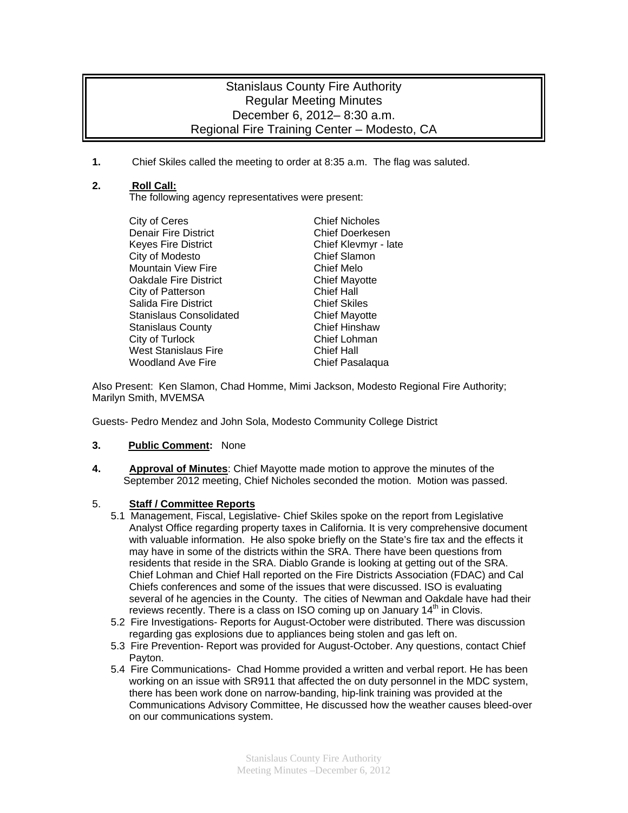# Stanislaus County Fire Authority Regular Meeting Minutes December 6, 2012– 8:30 a.m. Regional Fire Training Center – Modesto, CA

**1.** Chief Skiles called the meeting to order at 8:35 a.m. The flag was saluted.

## **2. Roll Call:**

The following agency representatives were present:

City of Ceres Chief Nicholes Denair Fire District **Chief Doerkesen** Keyes Fire District **Chief Kleymyr** - late City of Modesto **Chief Slamon** Mountain View Fire **Chief Melo Oakdale Fire District Chief Mayotte** City of Patterson Chief Hall Salida Fire District **Chief Skiles** Stanislaus Consolidated **Chief Mayotte** Stanislaus County **Chief Hinshaw** City of Turlock Chief Lohman West Stanislaus Fire **Chief Hall** Woodland Ave Fire **Chief Pasalaqua** 

Also Present: Ken Slamon, Chad Homme, Mimi Jackson, Modesto Regional Fire Authority; Marilyn Smith, MVEMSA

Guests- Pedro Mendez and John Sola, Modesto Community College District

#### **3. Public Comment:** None

**4. Approval of Minutes**: Chief Mayotte made motion to approve the minutes of the September 2012 meeting, Chief Nicholes seconded the motion. Motion was passed.

#### 5. **Staff / Committee Reports**

- 5.1 Management, Fiscal, Legislative- Chief Skiles spoke on the report from Legislative Analyst Office regarding property taxes in California. It is very comprehensive document with valuable information. He also spoke briefly on the State's fire tax and the effects it may have in some of the districts within the SRA. There have been questions from residents that reside in the SRA. Diablo Grande is looking at getting out of the SRA. Chief Lohman and Chief Hall reported on the Fire Districts Association (FDAC) and Cal Chiefs conferences and some of the issues that were discussed. ISO is evaluating several of he agencies in the County. The cities of Newman and Oakdale have had their reviews recently. There is a class on ISO coming up on January  $14<sup>th</sup>$  in Clovis.
- 5.2 Fire Investigations- Reports for August-October were distributed. There was discussion regarding gas explosions due to appliances being stolen and gas left on.
- 5.3 Fire Prevention- Report was provided for August-October. Any questions, contact Chief Payton.
- 5.4 Fire Communications- Chad Homme provided a written and verbal report. He has been working on an issue with SR911 that affected the on duty personnel in the MDC system, there has been work done on narrow-banding, hip-link training was provided at the Communications Advisory Committee, He discussed how the weather causes bleed-over on our communications system.